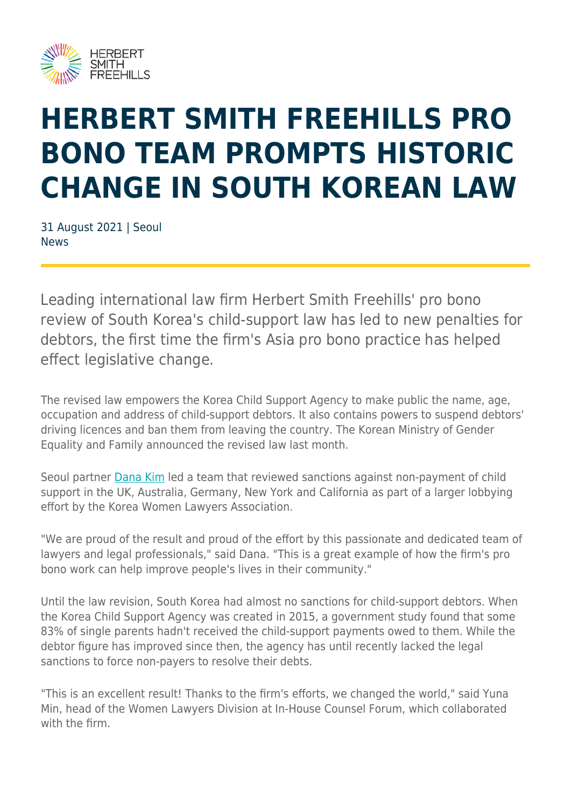

## **HERBERT SMITH FREEHILLS PRO BONO TEAM PROMPTS HISTORIC CHANGE IN SOUTH KOREAN LAW**

31 August 2021 | Seoul **News** 

Leading international law firm Herbert Smith Freehills' pro bono review of South Korea's child-support law has led to new penalties for debtors, the first time the firm's Asia pro bono practice has helped effect legislative change.

The revised law empowers the Korea Child Support Agency to make public the name, age, occupation and address of child-support debtors. It also contains powers to suspend debtors' driving licences and ban them from leaving the country. The Korean Ministry of Gender Equality and Family announced the revised law last month.

Seoul partner [Dana Kim](https://www.herbertsmithfreehills.com/our-people/dana-da-won-kim) led a team that reviewed sanctions against non-payment of child support in the UK, Australia, Germany, New York and California as part of a larger lobbying effort by the Korea Women Lawyers Association.

"We are proud of the result and proud of the effort by this passionate and dedicated team of lawyers and legal professionals," said Dana. "This is a great example of how the firm's pro bono work can help improve people's lives in their community."

Until the law revision, South Korea had almost no sanctions for child-support debtors. When the Korea Child Support Agency was created in 2015, a government study found that some 83% of single parents hadn't received the child-support payments owed to them. While the debtor figure has improved since then, the agency has until recently lacked the legal sanctions to force non-payers to resolve their debts.

"This is an excellent result! Thanks to the firm's efforts, we changed the world," said Yuna Min, head of the Women Lawyers Division at In-House Counsel Forum, which collaborated with the firm.